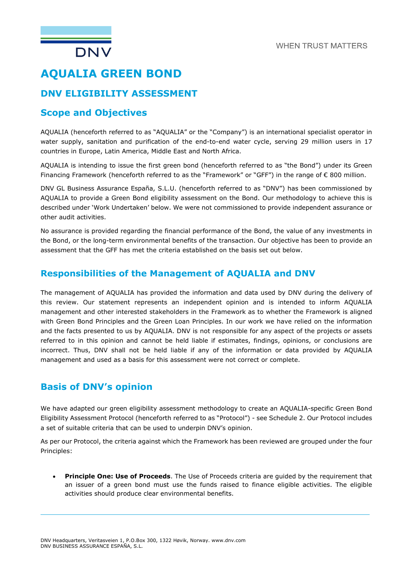

# **DNV ELIGIBILITY ASSESSMENT**

### **Scope and Objectives**

AQUALIA (henceforth referred to as "AQUALIA" or the "Company") is an international specialist operator in water supply, sanitation and purification of the end-to-end water cycle, serving 29 million users in 17 countries in Europe, Latin America, Middle East and North Africa.

AQUALIA is intending to issue the first green bond (henceforth referred to as "the Bond") under its Green Financing Framework (henceforth referred to as the "Framework" or "GFF") in the range of € 800 million.

DNV GL Business Assurance España, S.L.U. (henceforth referred to as "DNV") has been commissioned by AQUALIA to provide a Green Bond eligibility assessment on the Bond. Our methodology to achieve this is described under 'Work Undertaken' below. We were not commissioned to provide independent assurance or other audit activities.

No assurance is provided regarding the financial performance of the Bond, the value of any investments in the Bond, or the long-term environmental benefits of the transaction. Our objective has been to provide an assessment that the GFF has met the criteria established on the basis set out below.

### **Responsibilities of the Management of AQUALIA and DNV**

The management of AQUALIA has provided the information and data used by DNV during the delivery of this review. Our statement represents an independent opinion and is intended to inform AQUALIA management and other interested stakeholders in the Framework as to whether the Framework is aligned with Green Bond Principles and the Green Loan Principles. In our work we have relied on the information and the facts presented to us by AQUALIA. DNV is not responsible for any aspect of the projects or assets referred to in this opinion and cannot be held liable if estimates, findings, opinions, or conclusions are incorrect. Thus, DNV shall not be held liable if any of the information or data provided by AQUALIA management and used as a basis for this assessment were not correct or complete.

# **Basis of DNV's opinion**

We have adapted our green eligibility assessment methodology to create an AQUALIA-specific Green Bond Eligibility Assessment Protocol (henceforth referred to as "Protocol") - see Schedule 2. Our Protocol includes a set of suitable criteria that can be used to underpin DNV's opinion.

As per our Protocol, the criteria against which the Framework has been reviewed are grouped under the four Principles:

• **Principle One: Use of Proceeds**. The Use of Proceeds criteria are guided by the requirement that an issuer of a green bond must use the funds raised to finance eligible activities. The eligible activities should produce clear environmental benefits.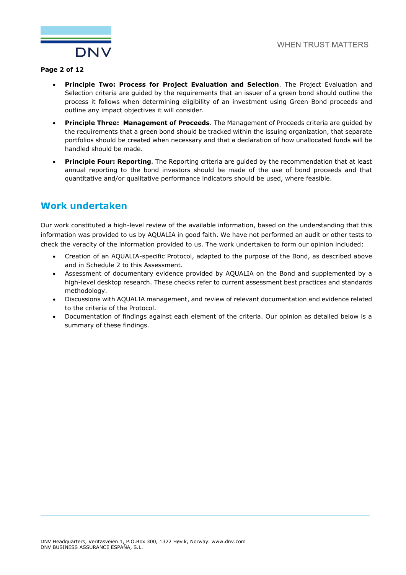

#### **Page 2 of 12**

- **Principle Two: Process for Project Evaluation and Selection**. The Project Evaluation and Selection criteria are guided by the requirements that an issuer of a green bond should outline the process it follows when determining eligibility of an investment using Green Bond proceeds and outline any impact objectives it will consider.
- **Principle Three: Management of Proceeds**. The Management of Proceeds criteria are guided by the requirements that a green bond should be tracked within the issuing organization, that separate portfolios should be created when necessary and that a declaration of how unallocated funds will be handled should be made.
- **Principle Four: Reporting**. The Reporting criteria are guided by the recommendation that at least annual reporting to the bond investors should be made of the use of bond proceeds and that quantitative and/or qualitative performance indicators should be used, where feasible.

### **Work undertaken**

Our work constituted a high-level review of the available information, based on the understanding that this information was provided to us by AQUALIA in good faith. We have not performed an audit or other tests to check the veracity of the information provided to us. The work undertaken to form our opinion included:

- Creation of an AQUALIA-specific Protocol, adapted to the purpose of the Bond, as described above and in Schedule 2 to this Assessment.
- Assessment of documentary evidence provided by AQUALIA on the Bond and supplemented by a high-level desktop research. These checks refer to current assessment best practices and standards methodology.
- Discussions with AQUALIA management, and review of relevant documentation and evidence related to the criteria of the Protocol.
- Documentation of findings against each element of the criteria. Our opinion as detailed below is a summary of these findings.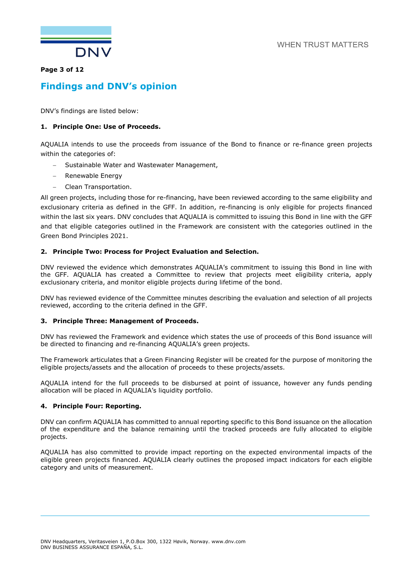

#### **Page 3 of 12**

## **Findings and DNV's opinion**

DNV's findings are listed below:

#### **1. Principle One: Use of Proceeds.**

AQUALIA intends to use the proceeds from issuance of the Bond to finance or re-finance green projects within the categories of:

- − Sustainable Water and Wastewater Management,
- − Renewable Energy
- − Clean Transportation.

All green projects, including those for re-financing, have been reviewed according to the same eligibility and exclusionary criteria as defined in the GFF. In addition, re-financing is only eligible for projects financed within the last six years. DNV concludes that AQUALIA is committed to issuing this Bond in line with the GFF and that eligible categories outlined in the Framework are consistent with the categories outlined in the Green Bond Principles 2021.

#### **2. Principle Two: Process for Project Evaluation and Selection.**

DNV reviewed the evidence which demonstrates AQUALIA's commitment to issuing this Bond in line with the GFF. AQUALIA has created a Committee to review that projects meet eligibility criteria, apply exclusionary criteria, and monitor eligible projects during lifetime of the bond.

DNV has reviewed evidence of the Committee minutes describing the evaluation and selection of all projects reviewed, according to the criteria defined in the GFF.

#### **3. Principle Three: Management of Proceeds.**

DNV has reviewed the Framework and evidence which states the use of proceeds of this Bond issuance will be directed to financing and re-financing AQUALIA's green projects.

The Framework articulates that a Green Financing Register will be created for the purpose of monitoring the eligible projects/assets and the allocation of proceeds to these projects/assets.

AQUALIA intend for the full proceeds to be disbursed at point of issuance, however any funds pending allocation will be placed in AQUALIA's liquidity portfolio.

#### **4. Principle Four: Reporting.**

DNV can confirm AQUALIA has committed to annual reporting specific to this Bond issuance on the allocation of the expenditure and the balance remaining until the tracked proceeds are fully allocated to eligible projects.

AQUALIA has also committed to provide impact reporting on the expected environmental impacts of the eligible green projects financed. AQUALIA clearly outlines the proposed impact indicators for each eligible category and units of measurement.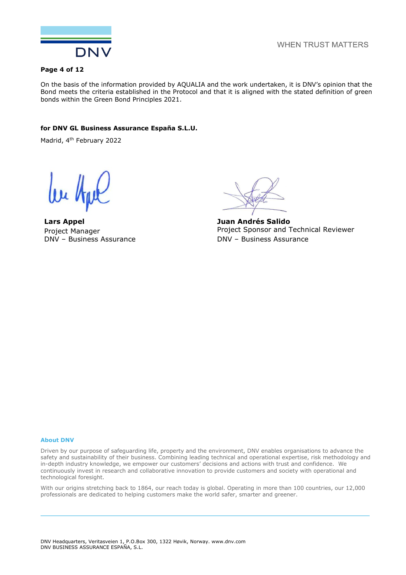

**WHEN TRUST MATTERS** 

#### **Page 4 of 12**

On the basis of the information provided by AQUALIA and the work undertaken, it is DNV's opinion that the Bond meets the criteria established in the Protocol and that it is aligned with the stated definition of green bonds within the Green Bond Principles 2021.

#### **for DNV GL Business Assurance España S.L.U.**

Madrid, 4th February 2022

**Lars Appel** Project Manager DNV – Business Assurance

**Juan Andrés Salido** Project Sponsor and Technical Reviewer DNV – Business Assurance

#### **About DNV**

Driven by our purpose of safeguarding life, property and the environment, DNV enables organisations to advance the safety and sustainability of their business. Combining leading technical and operational expertise, risk methodology and in-depth industry knowledge, we empower our customers' decisions and actions with trust and confidence. We continuously invest in research and collaborative innovation to provide customers and society with operational and technological foresight.

With our origins stretching back to 1864, our reach today is global. Operating in more than 100 countries, our 12,000 professionals are dedicated to helping customers make the world safer, smarter and greener.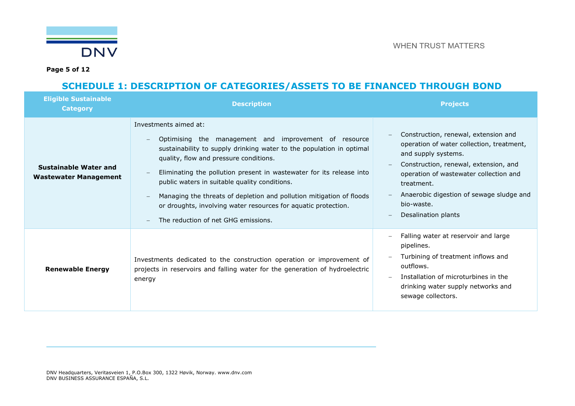

**Page 5 of 12**

# **SCHEDULE 1: DESCRIPTION OF CATEGORIES/ASSETS TO BE FINANCED THROUGH BOND**

| <b>Eligible Sustainable</b><br><b>Category</b>        | <b>Description</b>                                                                                                                                                                                                                                                                                                                                                                                                                                                                                                                                                                             | <b>Projects</b>                                                                                                                                                                                                                                                                            |
|-------------------------------------------------------|------------------------------------------------------------------------------------------------------------------------------------------------------------------------------------------------------------------------------------------------------------------------------------------------------------------------------------------------------------------------------------------------------------------------------------------------------------------------------------------------------------------------------------------------------------------------------------------------|--------------------------------------------------------------------------------------------------------------------------------------------------------------------------------------------------------------------------------------------------------------------------------------------|
| Sustainable Water and<br><b>Wastewater Management</b> | Investments aimed at:<br>Optimising the management and improvement of resource<br>$\overline{\phantom{m}}$<br>sustainability to supply drinking water to the population in optimal<br>quality, flow and pressure conditions.<br>Eliminating the pollution present in wastewater for its release into<br>public waters in suitable quality conditions.<br>Managing the threats of depletion and pollution mitigation of floods<br>$\overline{\phantom{a}}$<br>or droughts, involving water resources for aquatic protection.<br>The reduction of net GHG emissions.<br>$\overline{\phantom{0}}$ | Construction, renewal, extension and<br>operation of water collection, treatment,<br>and supply systems.<br>Construction, renewal, extension, and<br>operation of wastewater collection and<br>treatment.<br>Anaerobic digestion of sewage sludge and<br>bio-waste.<br>Desalination plants |
| <b>Renewable Energy</b>                               | Investments dedicated to the construction operation or improvement of<br>projects in reservoirs and falling water for the generation of hydroelectric<br>energy                                                                                                                                                                                                                                                                                                                                                                                                                                | Falling water at reservoir and large<br>pipelines.<br>Turbining of treatment inflows and<br>outflows.<br>Installation of microturbines in the<br>drinking water supply networks and<br>sewage collectors.                                                                                  |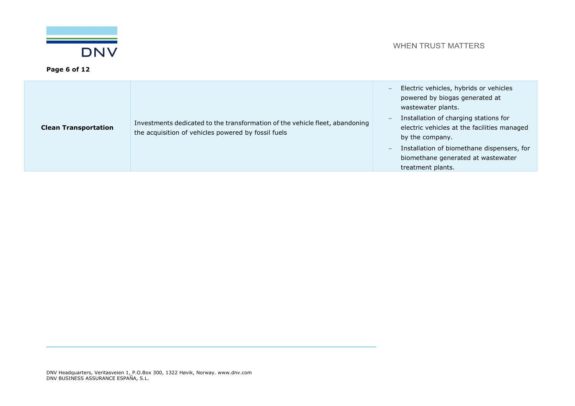

| <b>Clean Transportation</b> | Investments dedicated to the transformation of the vehicle fleet, abandoning<br>the acquisition of vehicles powered by fossil fuels | Electric vehicles, hybrids or vehicles<br>$\overline{\phantom{0}}$<br>powered by biogas generated at<br>wastewater plants.<br>Installation of charging stations for<br>electric vehicles at the facilities managed<br>by the company.<br>Installation of biomethane dispensers, for<br>$\qquad \qquad -$<br>biomethane generated at wastewater<br>treatment plants. |
|-----------------------------|-------------------------------------------------------------------------------------------------------------------------------------|---------------------------------------------------------------------------------------------------------------------------------------------------------------------------------------------------------------------------------------------------------------------------------------------------------------------------------------------------------------------|
|-----------------------------|-------------------------------------------------------------------------------------------------------------------------------------|---------------------------------------------------------------------------------------------------------------------------------------------------------------------------------------------------------------------------------------------------------------------------------------------------------------------------------------------------------------------|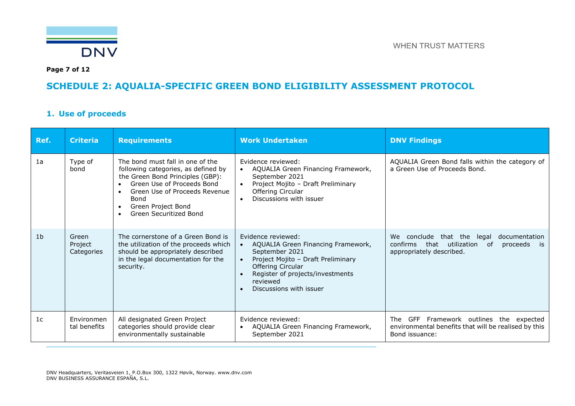

**Page 7 of 12**

# **SCHEDULE 2: AQUALIA-SPECIFIC GREEN BOND ELIGIBILITY ASSESSMENT PROTOCOL**

### **1. Use of proceeds**

| Ref.           | <b>Criteria</b>                | <b>Requirements</b>                                                                                                                                                                                                                | <b>Work Undertaken</b>                                                                                                                                                                                                                     | <b>DNV Findings</b>                                                                                                                |
|----------------|--------------------------------|------------------------------------------------------------------------------------------------------------------------------------------------------------------------------------------------------------------------------------|--------------------------------------------------------------------------------------------------------------------------------------------------------------------------------------------------------------------------------------------|------------------------------------------------------------------------------------------------------------------------------------|
| 1a             | Type of<br>bond                | The bond must fall in one of the<br>following categories, as defined by<br>the Green Bond Principles (GBP):<br>Green Use of Proceeds Bond<br>Green Use of Proceeds Revenue<br>Bond<br>Green Project Bond<br>Green Securitized Bond | Evidence reviewed:<br>AQUALIA Green Financing Framework,<br>$\bullet$<br>September 2021<br>Project Mojito - Draft Preliminary<br>$\bullet$<br>Offering Circular<br>Discussions with issuer<br>$\bullet$                                    | AQUALIA Green Bond falls within the category of<br>a Green Use of Proceeds Bond.                                                   |
| 1 <sub>b</sub> | Green<br>Project<br>Categories | The cornerstone of a Green Bond is<br>the utilization of the proceeds which<br>should be appropriately described<br>in the legal documentation for the<br>security.                                                                | Evidence reviewed:<br>AQUALIA Green Financing Framework,<br>$\bullet$<br>September 2021<br>Project Mojito - Draft Preliminary<br>$\bullet$<br>Offering Circular<br>Register of projects/investments<br>reviewed<br>Discussions with issuer | We conclude that the<br>documentation<br>legal<br>confirms<br>that<br>utilization<br>0f<br>proceeds is<br>appropriately described. |
| 1 <sub>c</sub> | Environmen<br>tal benefits     | All designated Green Project<br>categories should provide clear<br>environmentally sustainable                                                                                                                                     | Evidence reviewed:<br>AQUALIA Green Financing Framework,<br>$\bullet$<br>September 2021                                                                                                                                                    | GFF Framework outlines the expected<br>The<br>environmental benefits that will be realised by this<br>Bond issuance:               |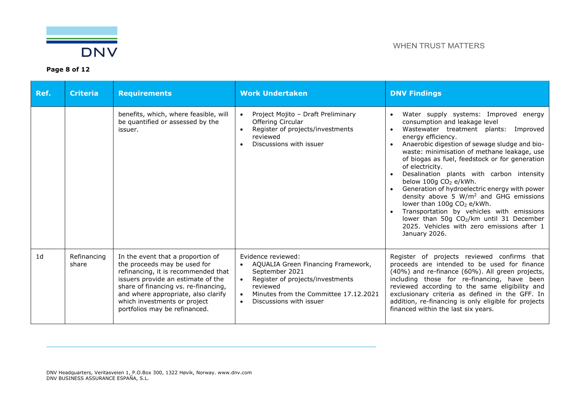

| Ref.           | <b>Criteria</b>      | <b>Requirements</b>                                                                                                                                                                                                                                                                            | <b>Work Undertaken</b>                                                                                                                                                                                                                             | <b>DNV Findings</b>                                                                                                                                                                                                                                                                                                                                                                                                                                                                                                                                                                                                                                                                                                                               |
|----------------|----------------------|------------------------------------------------------------------------------------------------------------------------------------------------------------------------------------------------------------------------------------------------------------------------------------------------|----------------------------------------------------------------------------------------------------------------------------------------------------------------------------------------------------------------------------------------------------|---------------------------------------------------------------------------------------------------------------------------------------------------------------------------------------------------------------------------------------------------------------------------------------------------------------------------------------------------------------------------------------------------------------------------------------------------------------------------------------------------------------------------------------------------------------------------------------------------------------------------------------------------------------------------------------------------------------------------------------------------|
|                |                      | benefits, which, where feasible, will<br>be quantified or assessed by the<br>issuer.                                                                                                                                                                                                           | Project Mojito - Draft Preliminary<br>$\bullet$<br>Offering Circular<br>Register of projects/investments<br>reviewed<br>Discussions with issuer<br>$\bullet$                                                                                       | Water supply systems: Improved energy<br>$\bullet$<br>consumption and leakage level<br>Wastewater treatment plants:<br>Improved<br>$\bullet$<br>energy efficiency.<br>Anaerobic digestion of sewage sludge and bio-<br>$\bullet$<br>waste: minimisation of methane leakage, use<br>of biogas as fuel, feedstock or for generation<br>of electricity.<br>Desalination plants with carbon intensity<br>below 100g CO <sub>2</sub> e/kWh.<br>Generation of hydroelectric energy with power<br>density above 5 $W/m2$ and GHG emissions<br>lower than 100g CO <sub>2</sub> e/kWh.<br>Transportation by vehicles with emissions<br>lower than 50g CO <sub>2</sub> /km until 31 December<br>2025. Vehicles with zero emissions after 1<br>January 2026. |
| 1 <sub>d</sub> | Refinancing<br>share | In the event that a proportion of<br>the proceeds may be used for<br>refinancing, it is recommended that<br>issuers provide an estimate of the<br>share of financing vs. re-financing,<br>and where appropriate, also clarify<br>which investments or project<br>portfolios may be refinanced. | Evidence reviewed:<br>AQUALIA Green Financing Framework,<br>$\bullet$<br>September 2021<br>Register of projects/investments<br>$\bullet$<br>reviewed<br>Minutes from the Committee 17.12.2021<br>$\bullet$<br>Discussions with issuer<br>$\bullet$ | Register of projects reviewed confirms that<br>proceeds are intended to be used for finance<br>(40%) and re-finance (60%). All green projects,<br>including those for re-financing, have been<br>reviewed according to the same eligibility and<br>exclusionary criteria as defined in the GFF. In<br>addition, re-financing is only eligible for projects<br>financed within the last six years.                                                                                                                                                                                                                                                                                                                                                 |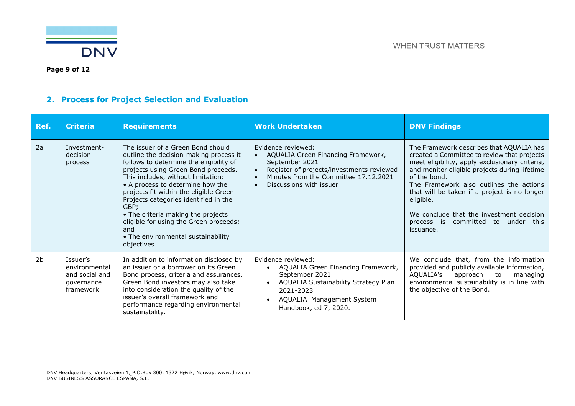

**Page 9 of 12**

# **2. Process for Project Selection and Evaluation**

| Ref.           | <b>Criteria</b>                                                        | <b>Requirements</b>                                                                                                                                                                                                                                                                                                                                                                                                                                                           | <b>Work Undertaken</b>                                                                                                                                                                                                                          | <b>DNV Findings</b>                                                                                                                                                                                                                                                                                                                                                                                               |
|----------------|------------------------------------------------------------------------|-------------------------------------------------------------------------------------------------------------------------------------------------------------------------------------------------------------------------------------------------------------------------------------------------------------------------------------------------------------------------------------------------------------------------------------------------------------------------------|-------------------------------------------------------------------------------------------------------------------------------------------------------------------------------------------------------------------------------------------------|-------------------------------------------------------------------------------------------------------------------------------------------------------------------------------------------------------------------------------------------------------------------------------------------------------------------------------------------------------------------------------------------------------------------|
| 2a             | Investment-<br>decision<br>process                                     | The issuer of a Green Bond should<br>outline the decision-making process it<br>follows to determine the eligibility of<br>projects using Green Bond proceeds.<br>This includes, without limitation:<br>• A process to determine how the<br>projects fit within the eligible Green<br>Projects categories identified in the<br>GBP;<br>• The criteria making the projects<br>eligible for using the Green proceeds;<br>and<br>• The environmental sustainability<br>objectives | Evidence reviewed:<br>AQUALIA Green Financing Framework,<br>$\bullet$<br>September 2021<br>Register of projects/investments reviewed<br>$\bullet$<br>Minutes from the Committee 17.12.2021<br>$\bullet$<br>Discussions with issuer<br>$\bullet$ | The Framework describes that AQUALIA has<br>created a Committee to review that projects<br>meet eligibility, apply exclusionary criteria,<br>and monitor eligible projects during lifetime<br>of the bond.<br>The Framework also outlines the actions<br>that will be taken if a project is no longer<br>eligible.<br>We conclude that the investment decision<br>process is committed to under this<br>issuance. |
| 2 <sub>b</sub> | Issuer's<br>environmental<br>and social and<br>governance<br>framework | In addition to information disclosed by<br>an issuer or a borrower on its Green<br>Bond process, criteria and assurances,<br>Green Bond investors may also take<br>into consideration the quality of the<br>issuer's overall framework and<br>performance regarding environmental<br>sustainability.                                                                                                                                                                          | Evidence reviewed:<br>AQUALIA Green Financing Framework,<br>$\bullet$<br>September 2021<br>AQUALIA Sustainability Strategy Plan<br>2021-2023<br>AQUALIA Management System<br>Handbook, ed 7, 2020.                                              | We conclude that, from the information<br>provided and publicly available information,<br>AQUALIA's<br>approach<br>to<br>managing<br>environmental sustainability is in line with<br>the objective of the Bond.                                                                                                                                                                                                   |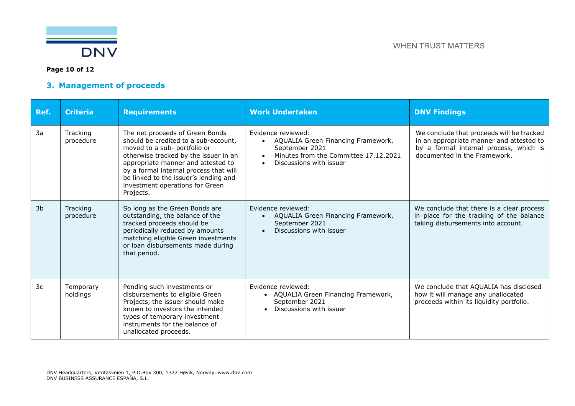

### **Page 10 of 12**

### **3. Management of proceeds**

| Ref.           | <b>Criteria</b>       | <b>Requirements</b>                                                                                                                                                                                                                                                                                                       | <b>Work Undertaken</b>                                                                                                                         | <b>DNV Findings</b>                                                                                                                                             |
|----------------|-----------------------|---------------------------------------------------------------------------------------------------------------------------------------------------------------------------------------------------------------------------------------------------------------------------------------------------------------------------|------------------------------------------------------------------------------------------------------------------------------------------------|-----------------------------------------------------------------------------------------------------------------------------------------------------------------|
| 3a             | Tracking<br>procedure | The net proceeds of Green Bonds<br>should be credited to a sub-account,<br>moved to a sub- portfolio or<br>otherwise tracked by the issuer in an<br>appropriate manner and attested to<br>by a formal internal process that will<br>be linked to the issuer's lending and<br>investment operations for Green<br>Projects. | Evidence reviewed:<br>AQUALIA Green Financing Framework,<br>September 2021<br>Minutes from the Committee 17.12.2021<br>Discussions with issuer | We conclude that proceeds will be tracked<br>in an appropriate manner and attested to<br>by a formal internal process, which is<br>documented in the Framework. |
| 3 <sub>b</sub> | Tracking<br>procedure | So long as the Green Bonds are<br>outstanding, the balance of the<br>tracked proceeds should be<br>periodically reduced by amounts<br>matching eligible Green investments<br>or loan disbursements made during<br>that period.                                                                                            | Evidence reviewed:<br>AQUALIA Green Financing Framework,<br>September 2021<br>Discussions with issuer                                          | We conclude that there is a clear process<br>in place for the tracking of the balance<br>taking disbursements into account.                                     |
| 3c             | Temporary<br>holdings | Pending such investments or<br>disbursements to eligible Green<br>Projects, the issuer should make<br>known to investors the intended<br>types of temporary investment<br>instruments for the balance of<br>unallocated proceeds.                                                                                         | Fvidence reviewed:<br>• AQUALIA Green Financing Framework,<br>September 2021<br>Discussions with issuer                                        | We conclude that AQUALIA has disclosed<br>how it will manage any unallocated<br>proceeds within its liquidity portfolio.                                        |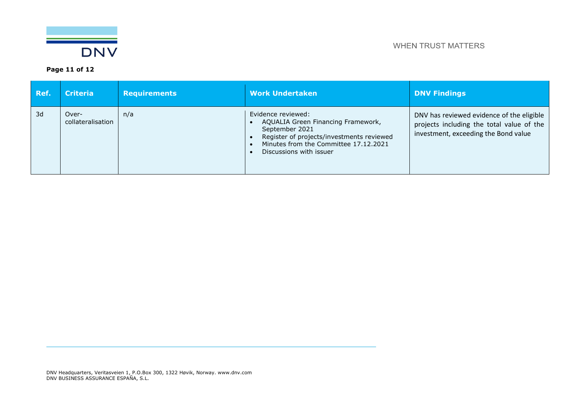

**Page 11 of 12**

| Ref. | <b>Criteria</b>            | <b>Requirements</b> | <b>Work Undertaken</b>                                                                                                                                                                      | <b>DNV Findings</b>                                                                                                            |
|------|----------------------------|---------------------|---------------------------------------------------------------------------------------------------------------------------------------------------------------------------------------------|--------------------------------------------------------------------------------------------------------------------------------|
| 3d   | Over-<br>collateralisation | n/a                 | Evidence reviewed:<br>AQUALIA Green Financing Framework,<br>September 2021<br>Register of projects/investments reviewed<br>Minutes from the Committee 17.12.2021<br>Discussions with issuer | DNV has reviewed evidence of the eligible<br>projects including the total value of the<br>investment, exceeding the Bond value |